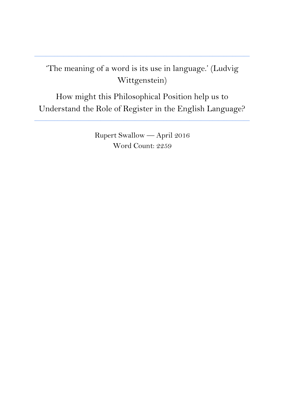## 'The meaning of a word is its use in language.' (Ludvig Wittgenstein)

**\_\_\_\_\_\_\_\_\_\_\_\_\_\_\_\_\_\_\_\_\_\_\_\_\_\_\_\_\_\_\_\_\_\_\_\_\_\_\_\_\_\_\_\_\_\_\_\_\_\_\_\_\_\_\_\_\_\_\_\_\_\_\_\_\_\_\_\_\_\_\_\_\_\_\_**

How might this Philosophical Position help us to Understand the Role of Register in the English Language?

**\_\_\_\_\_\_\_\_\_\_\_\_\_\_\_\_\_\_\_\_\_\_\_\_\_\_\_\_\_\_\_\_\_\_\_\_\_\_\_\_\_\_\_\_\_\_\_\_\_\_\_\_\_\_\_\_\_\_\_\_\_\_\_\_\_\_\_\_\_\_\_\_\_\_\_**

Rupert Swallow — April 2016 Word Count: 2259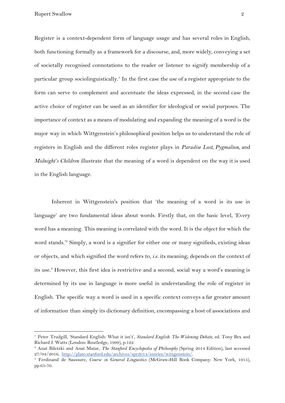Register is a context-dependent form of language usage and has several roles in English, both functioning formally as a framework for a discourse, and, more widely, conveying a set of societally recognised connotations to the reader or listener to signify membership of a particular group sociolinguistically.<sup>1</sup> In the first case the use of a register appropriate to the form can serve to complement and accentuate the ideas expressed, in the second case the active choice of register can be used as an identifier for ideological or social purposes. The importance of context as a means of modulating and expanding the meaning of a word is the major way in which Wittgenstein's philosophical position helps us to understand the role of registers in English and the different roles register plays in *Paradise Lost, Pygmalion*, and *Midnight's Children* illustrate that the meaning of a word is dependent on the way it is used in the English language.

Inherent in Wittgenstein's position that 'the meaning of a word is its use in language' are two fundamental ideas about words. Firstly that, on the basic level, 'Every word has a meaning. This meaning is correlated with the word. It is the object for which the word stands.<sup>2</sup> Simply, a word is a signifier for either one or many signifieds, existing ideas or objects, and which signified the word refers to, *i.e.* its meaning, depends on the context of its use.<sup>3</sup> However, this first idea is restrictive and a second, social way a word's meaning is determined by its use in language is more useful in understanding the role of register in English. The specific way a word is used in a specific context conveys a far greater amount of information than simply its dictionary definition, encompassing a host of associations and

<sup>1</sup> Peter Trudgill, 'Standard English: What it isn't', *Standard English: The Widening Debate*, ed. Tony Bex and Richard J. Watts (London: Routledge, 1999), p.122.

<sup>2</sup> Anat Biletzki and Anat Matar, *The Stanford Encyclopedia of Philosophy* (Spring 2014 Edition), last accessed 27/04/2016, <http://plato.stanford.edu/archives/spr2014/entries/wittgenstein/>.

<sup>3</sup> Ferdinand de Saussure, *Course in General Linguistics* (McGraw-Hill Book Company: New York, 1915), pp.65-70.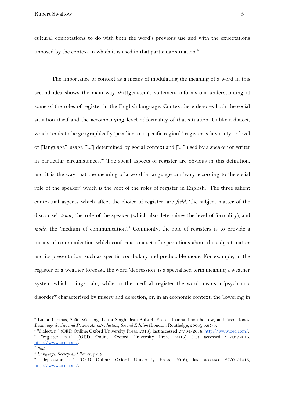cultural connotations to do with both the word's previous use and with the expectations imposed by the context in which it is used in that particular situation.<sup>4</sup>

The importance of context as a means of modulating the meaning of a word in this second idea shows the main way Wittgenstein's statement informs our understanding of some of the roles of register in the English language. Context here denotes both the social situation itself and the accompanying level of formality of that situation. Unlike a dialect, which tends to be geographically 'peculiar to a specific region', $\delta$  register is 'a variety or level of [language] usage [...] determined by social context and [...] used by a speaker or writer in particular circumstances.<sup> $6$ </sup> The social aspects of register are obvious in this definition, and it is the way that the meaning of a word in language can 'vary according to the social role of the speaker' which is the root of the roles of register in English.<sup>7</sup> The three salient contextual aspects which affect the choice of register, are *field*, 'the subject matter of the discourse', *tenor*, the role of the speaker (which also determines the level of formality), and mode, the 'medium of communication'.<sup>8</sup> Commonly, the role of registers is to provide a means of communication which conforms to a set of expectations about the subject matter and its presentation, such as specific vocabulary and predictable mode. For example, in the register of a weather forecast, the word 'depression' is a specialised term meaning a weather system which brings rain, while in the medical register the word means a 'psychiatric disorder<sup>'9</sup> characterised by misery and dejection, or, in an economic context, the 'lowering in

<sup>4</sup> Linda Thomas, Shân Wareing, Ishtla Singh, Jean Stilwell Peccei, Joanna Thornborrow, and Jason Jones, *Language, Society and Power: An introduction, Second Edition* (London: Routledge, 2004), p.67-9.

<sup>&</sup>lt;sup>5</sup> "dialect, n." (OED Online: Oxford University Press, 2016), last accessed 27/04/2016, [http://www.oed.com/](http://www.oed.com/view/Entry/51878?rskey=qiV4hg&result=1&isAdvanced=false).

<sup>6</sup> "register, n.1." (OED Online: Oxford University Press, 2016), last accessed 27/04/2016, [http://www.oed.com/.](http://www.oed.com/view/Entry/161292?rskey=oprmwK&result=1&isAdvanced=false)

<sup>7</sup> *Ibid.*

<sup>8</sup> *Language, Society and Power*, p219.

<sup>9</sup> "depression, n." (OED Online: Oxford University Press, 2016), last accessed 27/04/2016, [http://www.oed.com/.](http://www.oed.com/view/Entry/50451?redirectedFrom=depression#eid)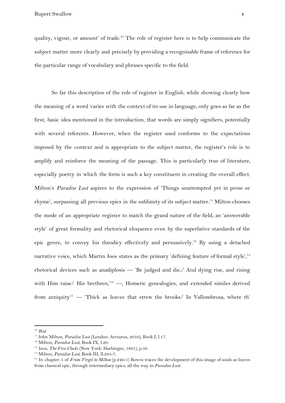quality, vigour, or amount' of trade.<sup>10</sup> The role of register here is to help communicate the subject matter more clearly and precisely by providing a recognisable frame of reference for the particular range of vocabulary and phrases specific to the field.

So far this description of the role of register in English, while showing clearly how the meaning of a word varies with the context of its use in language, only goes as far as the first, basic idea mentioned in the introduction, that words are simply signifiers, potentially with several referents. However, when the register used conforms to the expectations imposed by the context and is appropriate to the subject matter, the register's role is to amplify and reinforce the meaning of the passage. This is particularly true of literature, especially poetry in which the form is such a key constituent in creating the overall effect. Milton's *Paradise Lost* aspires to the expression of 'Things unattempted yet in prose or rhyme', surpassing all previous epics in the sublimity of its subject matter.<sup>11</sup> Milton chooses the mode of an appropriate register to match the grand nature of the field, an 'answerable style' of great formality and rhetorical eloquence even by the superlative standards of the epic genre, to convey his theodicy effectively and persuasively.<sup>12</sup> By using a detached narrative voice, which Martin Joos states as the primary 'defining feature of formal style', $^{13}$ rhetorical devices such as anadiplosis — 'Be judged and die,/ And dying rise, and rising with Him raise/ His brethren,<sup> $14$ </sup> —, Homeric genealogies, and extended similes derived from antiquity<sup>15</sup> — 'Thick as leaves that strew the brooks/ In Vallombrosa, where th'

<sup>10</sup> *Ibid.*

<sup>11</sup> John Milton, *Paradise Lost* (London: Arcturus, 2010), Book I, l.17.

<sup>12</sup> Milton, *Paradise Lost*, Book IX, l.20.

<sup>13</sup> Joos, *The Five Clocks* (New York: Harbinger, 1961), p.38.

<sup>14</sup> Milton, *Paradise Lost*, Book III, ll.295-7.

<sup>15</sup> In chapter 5 of *From Virgil to Milton* (p.240-1) Bowra traces the development of this image of souls as leaves from classical epic, through intermediary epics, all the way to *Paradise Lost*.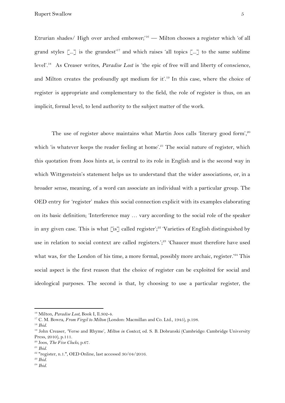Etrurian shades/ High over arched embower;<sup>16</sup> - Milton chooses a register which 'of all grand styles  $\lceil ... \rceil$  is the grandest<sup>'17</sup> and which raises 'all topics  $\lceil ... \rceil$  to the same sublime level'.<sup>18</sup> As Creaser writes, *Paradise Lost* is 'the epic of free will and liberty of conscience, and Milton creates the profoundly apt medium for it'.<sup>19</sup> In this case, where the choice of register is appropriate and complementary to the field, the role of register is thus, on an implicit, formal level, to lend authority to the subject matter of the work.

The use of register above maintains what Martin Joos calls 'literary good form',<sup>20</sup> which 'is whatever keeps the reader feeling at home'.<sup>21</sup> The social nature of register, which this quotation from Joos hints at, is central to its role in English and is the second way in which Wittgenstein's statement helps us to understand that the wider associations, or, in a broader sense, meaning, of a word can associate an individual with a particular group. The OED entry for 'register' makes this social connection explicit with its examples elaborating on its basic definition; 'Interference may … vary according to the social role of the speaker in any given case. This is what [is] called register';<sup>22</sup> 'Varieties of English distinguished by use in relation to social context are called registers.';<sup>23</sup> 'Chaucer must therefore have used what was, for the London of his time, a more formal, possibly more archaic, register.<sup>24</sup> This social aspect is the first reason that the choice of register can be exploited for social and ideological purposes. The second is that, by choosing to use a particular register, the

<sup>16</sup> Milton, *Paradise Lost*, Book I, ll.302-4.

<sup>17</sup> C. M. Bowra, *From Virgil to Milton* (London: Macmillan and Co. Ltd., 1945), p.198.

<sup>18</sup> *Ibid.*

<sup>19</sup> John Creaser, 'Verse and Rhyme', *Milton in Context,* ed. S. B. Dobranski (Cambridge: Cambridge University Press, 2010), p.111.

<sup>20</sup> Joos, *The Five Clocks*, p.67.

<sup>21</sup> *Ibid.*

<sup>22</sup> "register, n.1.", OED Online, last accessed 30/04/2016.

*<sup>23</sup> Ibid.*

<sup>24</sup> *Ibid.*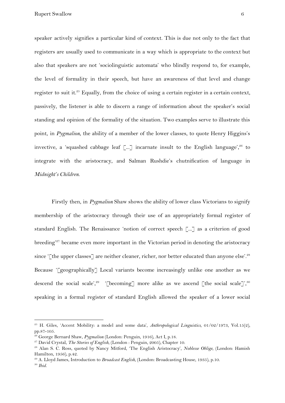speaker actively signifies a particular kind of context. This is due not only to the fact that registers are usually used to communicate in a way which is appropriate to the context but also that speakers are not 'sociolinguistic automata' who blindly respond to, for example, the level of formality in their speech, but have an awareness of that level and change register to suit it.<sup>25</sup> Equally, from the choice of using a certain register in a certain context, passively, the listener is able to discern a range of information about the speaker's social standing and opinion of the formality of the situation. Two examples serve to illustrate this point, in *Pygmalion*, the ability of a member of the lower classes, to quote Henry Higgins's invective, a 'squashed cabbage leaf  $\lceil ... \rceil$  incarnate insult to the English language',  $26$  to integrate with the aristocracy, and Salman Rushdie's chutnification of language in *Midnight's Children*.

Firstly then, in *Pygmalion* Shaw shows the ability of lower class Victorians to signify membership of the aristocracy through their use of an appropriately formal register of standard English. The Renaissance 'notion of correct speech [...] as a criterion of good breeding<sup>27</sup> became even more important in the Victorian period in denoting the aristocracy since '[the upper classes] are neither cleaner, richer, nor better educated than anyone else'.<sup>28</sup> Because '[geographically] Local variants become increasingly unlike one another as we descend the social scale',<sup>29</sup> '[becoming] more alike as we ascend [the social scale]',<sup>30</sup> speaking in a formal register of standard English allowed the speaker of a lower social

<sup>25</sup> H. Giles, 'Accent Mobility: a model and some data', *Anthropological Linguistics*, 01/02/1973, Vol.15(2), pp.87-105.

<sup>26</sup> George Bernard Shaw, *Pygmalion* (London: Penguin, 1916), Act I, p.18.

<sup>27</sup> David Crystal, *The Stories of English*, (London : Penguin, 2005), Chapter 10.

<sup>28</sup> Alan S. C. Ross, quoted by Nancy Mitford, 'The English Aristocracy', *Noblesse Oblige*, (London: Hamish Hamilton, 1956), p.42.

<sup>29</sup> A. Lloyd James, Introduction to *Broadcast English*, (London: Broadcasting House, 1935), p.10.

<sup>30</sup> *Ibid.*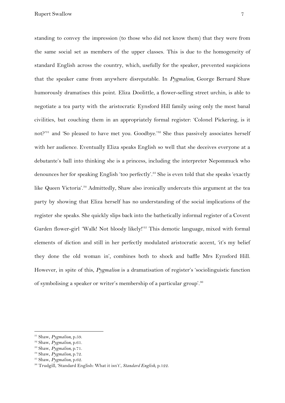standing to convey the impression (to those who did not know them) that they were from the same social set as members of the upper classes. This is due to the homogeneity of standard English across the country, which, usefully for the speaker, prevented suspicions that the speaker came from anywhere disreputable. In *Pygmalion*, George Bernard Shaw humorously dramatises this point. Eliza Doolittle, a flower-selling street urchin, is able to negotiate a tea party with the aristocratic Eynsford Hill family using only the most banal civilities, but couching them in an appropriately formal register: 'Colonel Pickering, is it not?'<sup>31</sup> and 'So pleased to have met you. Goodbye.'<sup>32</sup> She thus passively associates herself with her audience. Eventually Eliza speaks English so well that she deceives everyone at a debutante's ball into thinking she is a princess, including the interpreter Nepommuck who denounces her for speaking English 'too perfectly'.<sup>33</sup> She is even told that she speaks 'exactly like Queen Victoria'.<sup>34</sup> Admittedly, Shaw also ironically undercuts this argument at the tea party by showing that Eliza herself has no understanding of the social implications of the register she speaks. She quickly slips back into the bathetically informal register of a Covent Garden flower-girl 'Walk! Not bloody likely!'<sup>35</sup> This demotic language, mixed with formal elements of diction and still in her perfectly modulated aristocratic accent, 'it's my belief they done the old woman in', combines both to shock and baffle Mrs Eynsford Hill. However, in spite of this, *Pygmalion* is a dramatisation of register's 'sociolinguistic function of symbolising a speaker or writer's membership of a particular group'.<sup>36</sup>

<sup>31</sup> Shaw, *Pygmalion,* p.59.

<sup>32</sup> Shaw, *Pygmalion,* p.61.

<sup>33</sup> Shaw, *Pygmalion,* p.71.

<sup>34</sup> Shaw, *Pygmalion,* p.72. <sup>35</sup> Shaw, *Pygmalion,* p.62.

<sup>36</sup> Trudgill, 'Standard English: What it isn't', *Standard English*, p.122.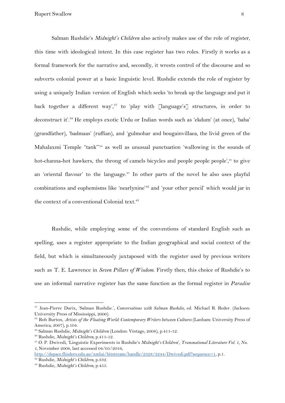Salman Rushdie's *Midnight's Children* also actively makes use of the role of register, this time with ideological intent. In this case register has two roles. Firstly it works as a formal framework for the narrative and, secondly, it wrests control of the discourse and so subverts colonial power at a basic linguistic level. Rushdie extends the role of register by using a uniquely Indian version of English which seeks 'to break up the language and put it back together a different way',<sup>37</sup> to 'play with  $\lceil \text{language's} \rceil$  structures, in order to deconstruct it'.<sup>38</sup> He employs exotic Urdu or Indian words such as 'ekdum' (at once), 'baba' (grandfather), 'badmaas' (ruffian), and 'gulmohar and bougainvillaea, the livid green of the Mahalaxmi Temple "tank"<sup>39</sup> as well as unusual punctuation 'wallowing in the sounds of hot-channa-hot hawkers, the throng of camels bicycles and people people people', $40$  to give an 'oriental flavour' to the language.<sup> $41$ </sup> In other parts of the novel he also uses playful combinations and euphemisms like 'nearlynine'<sup>42</sup> and 'your other pencil' which would jar in the context of a conventional Colonial text.<sup>43</sup>

Rushdie, while employing some of the conventions of standard English such as spelling, uses a register appropriate to the Indian geographical and social context of the field, but which is simultaneously juxtaposed with the register used by previous writers such as T. E. Lawrence in *Seven Pillars of Wisdom*. Firstly then, this choice of Rushdie's to use an informal narrative register has the same function as the formal register in *Paradise*

<sup>37</sup> Jean-Pierre Durix, 'Salman Rushdie.', *Conversations with Salman Rushdie*, ed. Michael R. Reder. (Jackson: University Press of Mississippi, 2000).

<sup>38</sup> Rob Burton, *Artists of the Floating World: Contemporary Writers between Cultures* (Lanham: University Press of America, 2007), p.104.

<sup>39</sup> Salman Rushdie, *Midnight's Children* (London: Vintage, 2008), p.411-12.

<sup>40</sup> Rushdie, *Midnight's Children*, p.411-12.

<sup>41</sup> O. P. Dwivedi, 'Linguistic Experiments in Rushdie's *Midnight's Children*', *Transnational Literature Vol. 1, No.*

*<sup>1,</sup>* November 2008, last accessed 04/05/2016,

<http://dspace.flinders.edu.au/xmlui/bitstream/handle/2328/3244/Dwivedi.pdf?sequence=1>, p.1.

<sup>42</sup> Rushdie, *Midnight's Children*, p.332.

<sup>43</sup> Rushdie, *Midnight's Children*, p.455.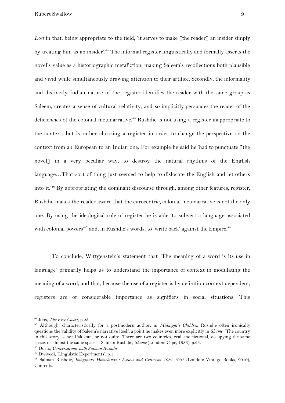Lost in that, being appropriate to the field, 'it serves to make [the reader] an insider simply by treating him as an insider'.<sup>44</sup> The informal register linguistically and formally asserts the novel's value as a historiographic metafiction, making Saleem's recollections both plausible and vivid while simultaneously drawing attention to their artifice. Secondly, the informality and distinctly Indian nature of the register identifies the reader with the same group as Saleem, creates a sense of cultural relativity, and so implicitly persuades the reader of the deficiencies of the colonial metanarrative.<sup> $45$ </sup> Rushdie is not using a register inappropriate to the context, but is rather choosing a register in order to change the perspective on the context from an European to an Indian one. For example he said he 'had to punctuate [the novel] in a very peculiar way, to destroy the natural rhythms of the English language...That sort of thing just seemed to help to dislocate the English and let others into it.<sup> $46$ </sup> By appropriating the dominant discourse through, among other features, register, Rushdie makes the reader aware that the eurocentric, colonial metanarrative is not the only one. By using the ideological role of register he is able 'to subvert a language associated with colonial powers'<sup>47</sup> and, in Rushdie's words, to 'write back' against the Empire.<sup>48</sup>

To conclude, Wittgenstein's statement that 'The meaning of a word is its use in language' primarily helps us to understand the importance of context in modulating the meaning of a word, and that, because the use of a register is by definition context dependent, registers are of considerable importance as signifiers in social situations. This

<sup>44</sup> Joos, *The Five Clocks,* p.23.

<sup>45</sup> Although, characteristically for a postmodern author, in *Midnight's Children* Rushdie often ironically questions the validity of Saleem's narrative itself, a point he makes even more explicitly in *Shame*: 'The country in this story is not Pakistan, or not quite. There are two countries, real and fictional, occupying the same space, or almost the same space.': Salman Rushdie, *Shame* (London: Cape, 1983), p.23.

<sup>46</sup> Durix, *Conversations with Salman Rushdie.*

<sup>47</sup> Dwivedi, 'Linguistic Experiments', p.1*.*

<sup>48</sup> Salman Rushdie, *Imaginary Homelands : Essays and Criticism 1981-1991* (London: Vintage Books, 2010), Contents.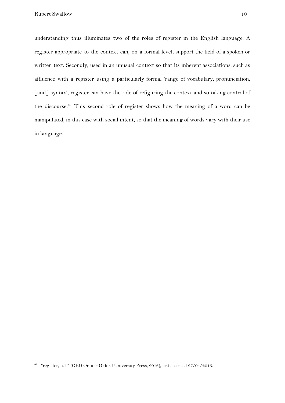understanding thus illuminates two of the roles of register in the English language. A register appropriate to the context can, on a formal level, support the field of a spoken or written text. Secondly, used in an unusual context so that its inherent associations, such as affluence with a register using a particularly formal 'range of vocabulary, pronunciation, [and] syntax', register can have the role of refiguring the context and so taking control of the discourse.<sup>49</sup> This second role of register shows how the meaning of a word can be manipulated, in this case with social intent, so that the meaning of words vary with their use in language.

<sup>49</sup> "register, n.1." (OED Online: Oxford University Press, 2016), last accessed 27/04/2016.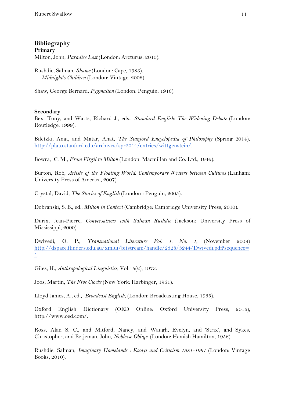## **Bibliography Primary** Milton, John, *Paradise Lost* (London: Arcturus, 2010).

Rushdie, Salman, *Shame* (London: Cape, 1983). *— Midnight's Children* (London: Vintage, 2008).

Shaw, George Bernard, *Pygmalion* (London: Penguin, 1916).

## **Secondary**

Bex, Tony, and Watts, Richard J., eds., *Standard English: The Widening Debate* (London: Routledge, 1999).

Biletzki, Anat, and Matar, Anat, *The Stanford Encyclopedia of Philosophy* (Spring 2014), [http://plato.stanford.edu/archives/spr2014/entries/wittgenstein/.](http://plato.stanford.edu/archives/spr2014/entries/wittgenstein/)

Bowra, C. M., *From Virgil to Milton* (London: Macmillan and Co. Ltd., 1945).

Burton, Rob, *Artists of the Floating World: Contemporary Writers between Cultures* (Lanham: University Press of America, 2007).

Crystal, David, *The Stories of English* (London : Penguin, 2005).

Dobranski, S. B., ed., *Milton in Context* (Cambridge: Cambridge University Press, 2010).

Durix, Jean-Pierre, *Conversations with Salman Rushdie* (Jackson: University Press of Mississippi, 2000).

Dwivedi, O. P., *Transnational Literature Vol. 1, No. 1*, (November 2008) [http://dspace.flinders.edu.au/xmlui/bitstream/handle/2328/3244/Dwivedi.pdf?sequence=](http://dspace.flinders.edu.au/xmlui/bitstream/handle/2328/3244/Dwivedi.pdf?sequence=1) [1](http://dspace.flinders.edu.au/xmlui/bitstream/handle/2328/3244/Dwivedi.pdf?sequence=1).

Giles, H., *Anthropological Linguistics*, Vol.15(2), 1973.

Joos, Martin, *The Five Clocks* (New York: Harbinger, 1961).

Lloyd James, A., ed., *Broadcast English*, (London: Broadcasting House, 1935).

Oxford English Dictionary (OED Online: Oxford University Press, 2016), http://www.oed.com/.

Ross, Alan S. C., and Mitford, Nancy, and Waugh, Evelyn, and 'Strix', and Sykes, Christopher, and Betjeman, John, *Noblesse Oblige*, (London: Hamish Hamilton, 1956).

Rushdie, Salman, *Imaginary Homelands : Essays and Criticism 1981-1991* (London: Vintage Books, 2010).